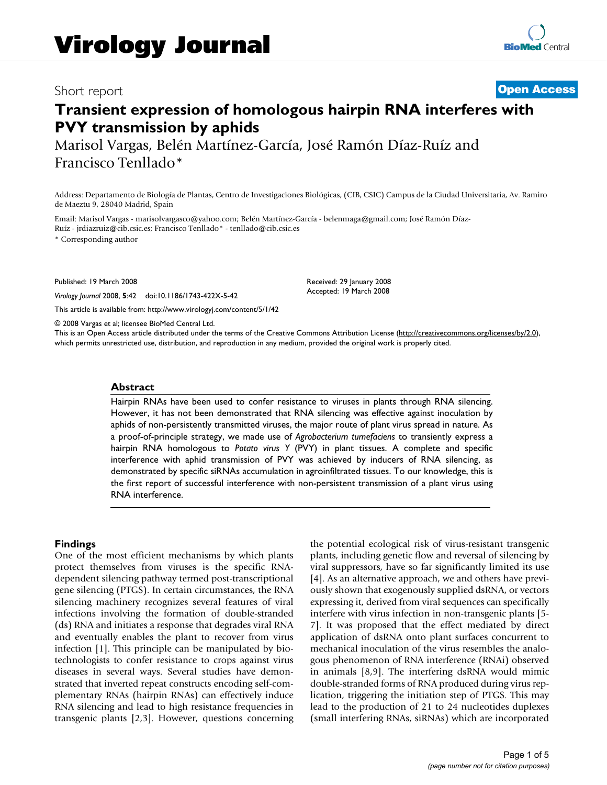# Short report **[Open Access](http://www.biomedcentral.com/info/about/charter/)**

# **Transient expression of homologous hairpin RNA interferes with PVY transmission by aphids**

Marisol Vargas, Belén Martínez-García, José Ramón Díaz-Ruíz and Francisco Tenllado\*

Address: Departamento de Biología de Plantas, Centro de Investigaciones Biológicas, (CIB, CSIC) Campus de la Ciudad Universitaria, Av. Ramiro de Maeztu 9, 28040 Madrid, Spain

Email: Marisol Vargas - marisolvargasco@yahoo.com; Belén Martínez-García - belenmaga@gmail.com; José Ramón Díaz-Ruíz - jrdiazruiz@cib.csic.es; Francisco Tenllado\* - tenllado@cib.csic.es

\* Corresponding author

Published: 19 March 2008

*Virology Journal* 2008, **5**:42 doi:10.1186/1743-422X-5-42

[This article is available from: http://www.virologyj.com/content/5/1/42](http://www.virologyj.com/content/5/1/42)

© 2008 Vargas et al; licensee BioMed Central Ltd.

This is an Open Access article distributed under the terms of the Creative Commons Attribution License [\(http://creativecommons.org/licenses/by/2.0\)](http://creativecommons.org/licenses/by/2.0), which permits unrestricted use, distribution, and reproduction in any medium, provided the original work is properly cited.

Received: 29 January 2008 Accepted: 19 March 2008

# **Abstract**

Hairpin RNAs have been used to confer resistance to viruses in plants through RNA silencing. However, it has not been demonstrated that RNA silencing was effective against inoculation by aphids of non-persistently transmitted viruses, the major route of plant virus spread in nature. As a proof-of-principle strategy, we made use of *Agrobacterium tumefaciens* to transiently express a hairpin RNA homologous to *Potato virus Y* (PVY) in plant tissues. A complete and specific interference with aphid transmission of PVY was achieved by inducers of RNA silencing, as demonstrated by specific siRNAs accumulation in agroinfiltrated tissues. To our knowledge, this is the first report of successful interference with non-persistent transmission of a plant virus using RNA interference.

# **Findings**

One of the most efficient mechanisms by which plants protect themselves from viruses is the specific RNAdependent silencing pathway termed post-transcriptional gene silencing (PTGS). In certain circumstances, the RNA silencing machinery recognizes several features of viral infections involving the formation of double-stranded (ds) RNA and initiates a response that degrades viral RNA and eventually enables the plant to recover from virus infection [1]. This principle can be manipulated by biotechnologists to confer resistance to crops against virus diseases in several ways. Several studies have demonstrated that inverted repeat constructs encoding self-complementary RNAs (hairpin RNAs) can effectively induce RNA silencing and lead to high resistance frequencies in transgenic plants [2,3]. However, questions concerning the potential ecological risk of virus-resistant transgenic plants, including genetic flow and reversal of silencing by viral suppressors, have so far significantly limited its use [4]. As an alternative approach, we and others have previously shown that exogenously supplied dsRNA, or vectors expressing it, derived from viral sequences can specifically interfere with virus infection in non-transgenic plants [5- 7]. It was proposed that the effect mediated by direct application of dsRNA onto plant surfaces concurrent to mechanical inoculation of the virus resembles the analogous phenomenon of RNA interference (RNAi) observed in animals [8,9]. The interfering dsRNA would mimic double-stranded forms of RNA produced during virus replication, triggering the initiation step of PTGS. This may lead to the production of 21 to 24 nucleotides duplexes (small interfering RNAs, siRNAs) which are incorporated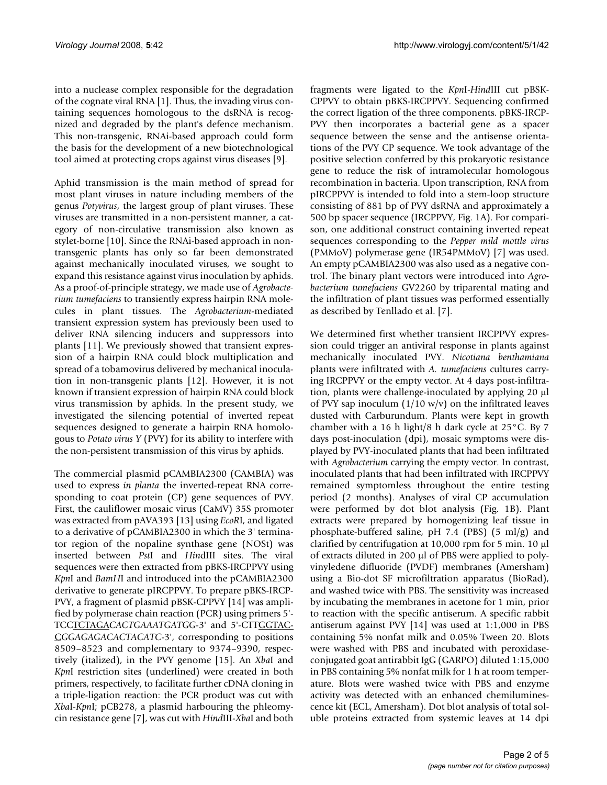into a nuclease complex responsible for the degradation of the cognate viral RNA [1]. Thus, the invading virus containing sequences homologous to the dsRNA is recognized and degraded by the plant's defence mechanism. This non-transgenic, RNAi-based approach could form the basis for the development of a new biotechnological tool aimed at protecting crops against virus diseases [9].

Aphid transmission is the main method of spread for most plant viruses in nature including members of the genus *Potyvirus*, the largest group of plant viruses. These viruses are transmitted in a non-persistent manner, a category of non-circulative transmission also known as stylet-borne [10]. Since the RNAi-based approach in nontransgenic plants has only so far been demonstrated against mechanically inoculated viruses, we sought to expand this resistance against virus inoculation by aphids. As a proof-of-principle strategy, we made use of *Agrobacterium tumefaciens* to transiently express hairpin RNA molecules in plant tissues. The *Agrobacterium*-mediated transient expression system has previously been used to deliver RNA silencing inducers and suppressors into plants [11]. We previously showed that transient expression of a hairpin RNA could block multiplication and spread of a tobamovirus delivered by mechanical inoculation in non-transgenic plants [12]. However, it is not known if transient expression of hairpin RNA could block virus transmission by aphids. In the present study, we investigated the silencing potential of inverted repeat sequences designed to generate a hairpin RNA homologous to *Potato virus Y* (PVY) for its ability to interfere with the non-persistent transmission of this virus by aphids.

The commercial plasmid pCAMBIA2300 (CAMBIA) was used to express *in planta* the inverted-repeat RNA corresponding to coat protein (CP) gene sequences of PVY. First, the cauliflower mosaic virus (CaMV) 35S promoter was extracted from pAVA393 [13] using *EcoR*I, and ligated to a derivative of pCAMBIA2300 in which the 3' terminator region of the nopaline synthase gene (NOSt) was inserted between *Pst*I and *Hin*dIII sites. The viral sequences were then extracted from pBKS-IRCPPVY using *Kpn*I and *BamH*I and introduced into the pCAMBIA2300 derivative to generate pIRCPPVY. To prepare pBKS-IRCP-PVY, a fragment of plasmid pBSK-CPPVY [14] was amplified by polymerase chain reaction (PCR) using primers 5'- TCCTCTAGA*CACTGAAATGATGG*-3' and 5'-CTTGGTAC-C*GGAGAGACACTACATC*-3', corresponding to positions 8509–8523 and complementary to 9374–9390, respectively (italized), in the PVY genome [[15](#page-4-0)]. An *Xba*I and *Kpn*I restriction sites (underlined) were created in both primers, respectively, to facilitate further cDNA cloning in a triple-ligation reaction: the PCR product was cut with *Xba*I-*Kpn*I; pCB278, a plasmid harbouring the phleomycin resistance gene [7], was cut with *Hind*III-*Xba*I and both

fragments were ligated to the *Kpn*I-*Hind*III cut pBSK-CPPVY to obtain pBKS-IRCPPVY. Sequencing confirmed the correct ligation of the three components. pBKS-IRCP-PVY then incorporates a bacterial gene as a spacer sequence between the sense and the antisense orientations of the PVY CP sequence. We took advantage of the positive selection conferred by this prokaryotic resistance gene to reduce the risk of intramolecular homologous recombination in bacteria. Upon transcription, RNA from pIRCPPVY is intended to fold into a stem-loop structure consisting of 881 bp of PVY dsRNA and approximately a 500 bp spacer sequence (IRCPPVY, Fig. 1A). For comparison, one additional construct containing inverted repeat sequences corresponding to the *Pepper mild mottle virus* (PMMoV) polymerase gene (IR54PMMoV) [7] was used. An empty pCAMBIA2300 was also used as a negative control. The binary plant vectors were introduced into *Agrobacterium tumefaciens* GV2260 by triparental mating and the infiltration of plant tissues was performed essentially as described by Tenllado et al. [7].

We determined first whether transient IRCPPVY expression could trigger an antiviral response in plants against mechanically inoculated PVY. *Nicotiana benthamiana* plants were infiltrated with *A. tumefaciens* cultures carrying IRCPPVY or the empty vector. At 4 days post-infiltration, plants were challenge-inoculated by applying 20 μl of PVY sap inoculum  $(1/10 \text{ w/v})$  on the infiltrated leaves dusted with Carburundum. Plants were kept in growth chamber with a 16 h light/8 h dark cycle at 25°C. By 7 days post-inoculation (dpi), mosaic symptoms were displayed by PVY-inoculated plants that had been infiltrated with *Agrobacterium* carrying the empty vector. In contrast, inoculated plants that had been infiltrated with IRCPPVY remained symptomless throughout the entire testing period (2 months). Analyses of viral CP accumulation were performed by dot blot analysis (Fig. 1B). Plant extracts were prepared by homogenizing leaf tissue in phosphate-buffered saline, pH 7.4 (PBS) (5 ml/g) and clarified by centrifugation at 10,000 rpm for 5 min. 10 μl of extracts diluted in 200 μl of PBS were applied to polyvinyledene difluoride (PVDF) membranes (Amersham) using a Bio-dot SF microfiltration apparatus (BioRad), and washed twice with PBS. The sensitivity was increased by incubating the membranes in acetone for 1 min, prior to reaction with the specific antiserum. A specific rabbit antiserum against PVY [14] was used at 1:1,000 in PBS containing 5% nonfat milk and 0.05% Tween 20. Blots were washed with PBS and incubated with peroxidaseconjugated goat antirabbit IgG (GARPO) diluted 1:15,000 in PBS containing 5% nonfat milk for 1 h at room temperature. Blots were washed twice with PBS and enzyme activity was detected with an enhanced chemiluminescence kit (ECL, Amersham). Dot blot analysis of total soluble proteins extracted from systemic leaves at 14 dpi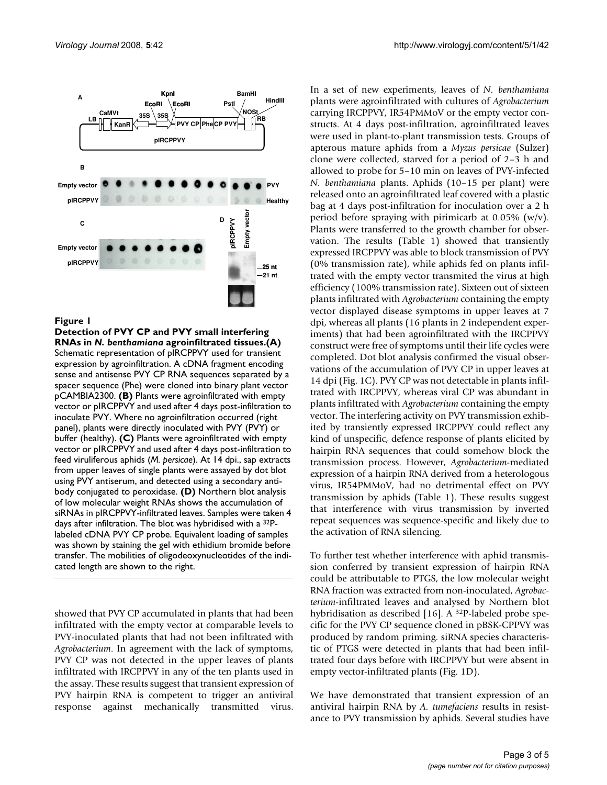

### **Figure 1**

**Detection of PVY CP and PVY small interfering RNAs in** *N. benthamiana* **agroinfiltrated tissues.(A)** 

Schematic representation of pIRCPPVY used for transient expression by agroinfiltration. A cDNA fragment encoding sense and antisense PVY CP RNA sequences separated by a spacer sequence (Phe) were cloned into binary plant vector pCAMBIA2300. **(B)** Plants were agroinfiltrated with empty vector or pIRCPPVY and used after 4 days post-infiltration to inoculate PVY. Where no agroinfiltration occurred (right panel), plants were directly inoculated with PVY (PVY) or buffer (healthy). **(C)** Plants were agroinfiltrated with empty vector or pIRCPPVY and used after 4 days post-infiltration to feed viruliferous aphids (*M. persicae*). At 14 dpi., sap extracts from upper leaves of single plants were assayed by dot blot using PVY antiserum, and detected using a secondary antibody conjugated to peroxidase. **(D)** Northern blot analysis of low molecular weight RNAs shows the accumulation of siRNAs in pIRCPPVY-infiltrated leaves. Samples were taken 4 days after infiltration. The blot was hybridised with a 32Plabeled cDNA PVY CP probe. Equivalent loading of samples was shown by staining the gel with ethidium bromide before transfer. The mobilities of oligodeoxynucleotides of the indicated length are shown to the right.

showed that PVY CP accumulated in plants that had been infiltrated with the empty vector at comparable levels to PVY-inoculated plants that had not been infiltrated with *Agrobacterium*. In agreement with the lack of symptoms, PVY CP was not detected in the upper leaves of plants infiltrated with IRCPPVY in any of the ten plants used in the assay. These results suggest that transient expression of PVY hairpin RNA is competent to trigger an antiviral response against mechanically transmitted virus.

In a set of new experiments, leaves of *N. benthamiana* plants were agroinfiltrated with cultures of *Agrobacterium* carrying IRCPPVY, IR54PMMoV or the empty vector constructs. At 4 days post-infiltration, agroinfiltrated leaves were used in plant-to-plant transmission tests. Groups of apterous mature aphids from a *Myzus persicae* (Sulzer) clone were collected, starved for a period of 2–3 h and allowed to probe for 5–10 min on leaves of PVY-infected *N. benthamiana* plants. Aphids (10–15 per plant) were released onto an agroinfiltrated leaf covered with a plastic bag at 4 days post-infiltration for inoculation over a 2 h period before spraying with pirimicarb at  $0.05\%$  (w/v). Plants were transferred to the growth chamber for observation. The results (Table 1) showed that transiently expressed IRCPPVY was able to block transmission of PVY (0% transmission rate), while aphids fed on plants infiltrated with the empty vector transmited the virus at high efficiency (100% transmission rate). Sixteen out of sixteen plants infiltrated with *Agrobacterium* containing the empty vector displayed disease symptoms in upper leaves at 7 dpi, whereas all plants (16 plants in 2 independent experiments) that had been agroinfiltrated with the IRCPPVY construct were free of symptoms until their life cycles were completed. Dot blot analysis confirmed the visual observations of the accumulation of PVY CP in upper leaves at 14 dpi (Fig. 1C). PVY CP was not detectable in plants infiltrated with IRCPPVY, whereas viral CP was abundant in plants infiltrated with *Agrobacterium* containing the empty vector. The interfering activity on PVY transmission exhibited by transiently expressed IRCPPVY could reflect any kind of unspecific, defence response of plants elicited by hairpin RNA sequences that could somehow block the transmission process. However, *Agrobacterium*-mediated expression of a hairpin RNA derived from a heterologous virus, IR54PMMoV, had no detrimental effect on PVY transmission by aphids (Table 1). These results suggest that interference with virus transmission by inverted repeat sequences was sequence-specific and likely due to the activation of RNA silencing.

To further test whether interference with aphid transmission conferred by transient expression of hairpin RNA could be attributable to PTGS, the low molecular weight RNA fraction was extracted from non-inoculated, *Agrobacterium*-infiltrated leaves and analysed by Northern blot hybridisation as described [16]. A 32P-labeled probe specific for the PVY CP sequence cloned in pBSK-CPPVY was produced by random priming. siRNA species characteristic of PTGS were detected in plants that had been infiltrated four days before with IRCPPVY but were absent in empty vector-infiltrated plants (Fig. 1D).

We have demonstrated that transient expression of an antiviral hairpin RNA by *A. tumefaciens* results in resistance to PVY transmission by aphids. Several studies have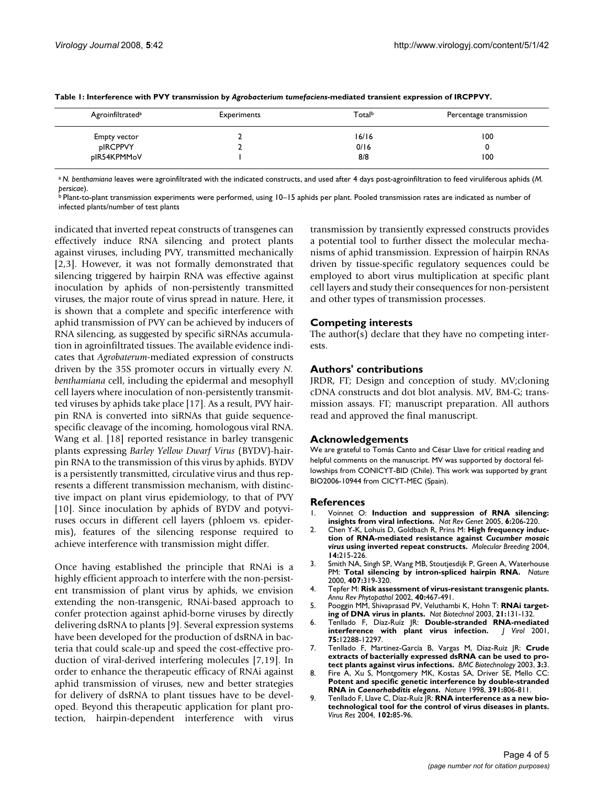| Agroinfiltrated <sup>a</sup> | Experiments | Totalb | Percentage transmission |
|------------------------------|-------------|--------|-------------------------|
| Empty vector                 |             | 16/16  | 100                     |
| <b>pIRCPPVY</b>              |             | 0/16   |                         |
| pIR54KPMMoV                  |             | 8/8    | 100                     |

**Table 1: Interference with PVY transmission by** *Agrobacterium tumefaciens***-mediated transient expression of IRCPPVY.**

<sup>a</sup>*N. benthamiana* leaves were agroinfiltrated with the indicated constructs, and used after 4 days post-agroinfiltration to feed viruliferous aphids (*M. persicae*).

b Plant-to-plant transmission experiments were performed, using 10–15 aphids per plant. Pooled transmission rates are indicated as number of infected plants/number of test plants

indicated that inverted repeat constructs of transgenes can effectively induce RNA silencing and protect plants against viruses, including PVY, transmitted mechanically [2,3]. However, it was not formally demonstrated that silencing triggered by hairpin RNA was effective against inoculation by aphids of non-persistently transmitted viruses, the major route of virus spread in nature. Here, it is shown that a complete and specific interference with aphid transmission of PVY can be achieved by inducers of RNA silencing, as suggested by specific siRNAs accumulation in agroinfiltrated tissues. The available evidence indicates that *Agrobaterum-*mediated expression of constructs driven by the 35S promoter occurs in virtually every *N. benthamiana* cell, including the epidermal and mesophyll cell layers where inoculation of non-persistently transmitted viruses by aphids take place [17]. As a result, PVY hairpin RNA is converted into siRNAs that guide sequencespecific cleavage of the incoming, homologous viral RNA. Wang et al. [18] reported resistance in barley transgenic plants expressing *Barley Yellow Dwarf Virus* (BYDV)-hairpin RNA to the transmission of this virus by aphids. BYDV is a persistently transmitted, circulative virus and thus represents a different transmission mechanism, with distinctive impact on plant virus epidemiology, to that of PVY [10]. Since inoculation by aphids of BYDV and potyviruses occurs in different cell layers (phloem vs. epidermis), features of the silencing response required to achieve interference with transmission might differ.

Once having established the principle that RNAi is a highly efficient approach to interfere with the non-persistent transmission of plant virus by aphids, we envision extending the non-transgenic, RNAi-based approach to confer protection against aphid-borne viruses by directly delivering dsRNA to plants [9]. Several expression systems have been developed for the production of dsRNA in bacteria that could scale-up and speed the cost-effective production of viral-derived interfering molecules [7,19]. In order to enhance the therapeutic efficacy of RNAi against aphid transmission of viruses, new and better strategies for delivery of dsRNA to plant tissues have to be developed. Beyond this therapeutic application for plant protection, hairpin-dependent interference with virus transmission by transiently expressed constructs provides a potential tool to further dissect the molecular mechanisms of aphid transmission. Expression of hairpin RNAs driven by tissue-specific regulatory sequences could be employed to abort virus multiplication at specific plant cell layers and study their consequences for non-persistent and other types of transmission processes.

# **Competing interests**

The author(s) declare that they have no competing interests.

# **Authors' contributions**

JRDR, FT; Design and conception of study. MV;cloning cDNA constructs and dot blot analysis. MV, BM-G; transmission assays. FT; manuscript preparation. All authors read and approved the final manuscript.

# **Acknowledgements**

We are grateful to Tomás Canto and César Llave for critical reading and helpful comments on the manuscript. MV was supported by doctoral fellowships from CONICYT-BID (Chile). This work was supported by grant BIO2006-10944 from CICYT-MEC (Spain).

# **References**

- 1. Voinnet O: **[Induction and suppression of RNA silencing:](http://www.ncbi.nlm.nih.gov/entrez/query.fcgi?cmd=Retrieve&db=PubMed&dopt=Abstract&list_uids=15703763) [insights from viral infections.](http://www.ncbi.nlm.nih.gov/entrez/query.fcgi?cmd=Retrieve&db=PubMed&dopt=Abstract&list_uids=15703763)** *Nat Rev Genet* 2005, **6:**206-220.
- 2. Chen Y-K, Lohuis D, Goldbach R, Prins M: **High frequency induction of RNA-mediated resistance against** *Cucumber mosaic virus* **using inverted repeat constructs.** *Molecular Breeding* 2004, **14:**215-226.
- 3. Smith NA, Singh SP, Wang MB, Stoutjesdijk P, Green A, Waterhouse PM: **[Total silencing by intron-spliced hairpin RNA.](http://www.ncbi.nlm.nih.gov/entrez/query.fcgi?cmd=Retrieve&db=PubMed&dopt=Abstract&list_uids=11014180)** *Nature* 2000, **407:**319-320.
- 4. Tepfer M: **[Risk assessment of virus-resistant transgenic plants.](http://www.ncbi.nlm.nih.gov/entrez/query.fcgi?cmd=Retrieve&db=PubMed&dopt=Abstract&list_uids=12147768)** *Annu Rev Phytopathol* 2002, **40:**467-491.
- 5. Pooggin MM, Shivaprasad PV, Veluthambi K, Hohn T: **[RNAi target](http://www.ncbi.nlm.nih.gov/entrez/query.fcgi?cmd=Retrieve&db=PubMed&dopt=Abstract&list_uids=12560831)[ing of DNA virus in plants.](http://www.ncbi.nlm.nih.gov/entrez/query.fcgi?cmd=Retrieve&db=PubMed&dopt=Abstract&list_uids=12560831)** *Nat Biotechnol* 2003, **21:**131-132.
- 6. Tenllado F, Díaz-Ruíz JR: **[Double-stranded RNA-mediated](http://www.ncbi.nlm.nih.gov/entrez/query.fcgi?cmd=Retrieve&db=PubMed&dopt=Abstract&list_uids=11711619)** [interference with plant virus infection.](http://www.ncbi.nlm.nih.gov/entrez/query.fcgi?cmd=Retrieve&db=PubMed&dopt=Abstract&list_uids=11711619) **75:**12288-12297.
- 7. Tenllado F, Martinez-García B, Vargas M, Díaz-Ruíz JR: **[Crude](http://www.ncbi.nlm.nih.gov/entrez/query.fcgi?cmd=Retrieve&db=PubMed&dopt=Abstract&list_uids=12659646) [extracts of bacterially expressed dsRNA can be used to pro](http://www.ncbi.nlm.nih.gov/entrez/query.fcgi?cmd=Retrieve&db=PubMed&dopt=Abstract&list_uids=12659646)[tect plants against virus infections.](http://www.ncbi.nlm.nih.gov/entrez/query.fcgi?cmd=Retrieve&db=PubMed&dopt=Abstract&list_uids=12659646)** *BMC Biotechnology* 2003, **3:**3.
- 8. Fire A, Xu S, Montgomery MK, Kostas SA, Driver SE, Mello CC: **Potent and specific genetic interference by double-stranded RNA in** *Caenorhabditis elegans***[.](http://www.ncbi.nlm.nih.gov/entrez/query.fcgi?cmd=Retrieve&db=PubMed&dopt=Abstract&list_uids=9486653)** *Nature* 1998, **391:**806-811.
- 9. Tenllado F, Llave C, Díaz-Ruíz JR: **[RNA interference as a new bio](http://www.ncbi.nlm.nih.gov/entrez/query.fcgi?cmd=Retrieve&db=PubMed&dopt=Abstract&list_uids=15068884)[technological tool for the control of virus diseases in plants.](http://www.ncbi.nlm.nih.gov/entrez/query.fcgi?cmd=Retrieve&db=PubMed&dopt=Abstract&list_uids=15068884)** *Virus Res* 2004, **102:**85-96.